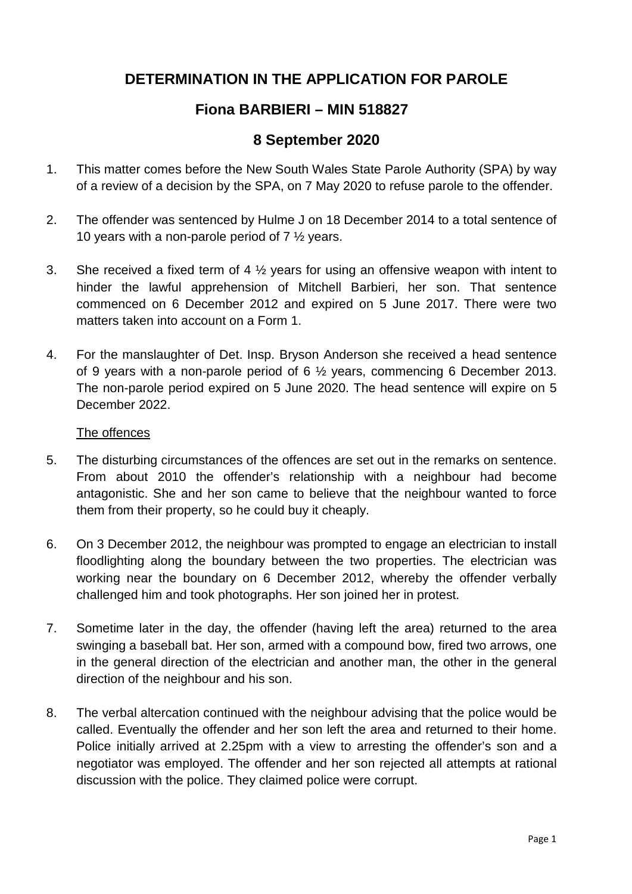# **DETERMINATION IN THE APPLICATION FOR PAROLE**

## **Fiona BARBIERI – MIN 518827**

### **8 September 2020**

- 1. This matter comes before the New South Wales State Parole Authority (SPA) by way of a review of a decision by the SPA, on 7 May 2020 to refuse parole to the offender.
- 2. The offender was sentenced by Hulme J on 18 December 2014 to a total sentence of 10 years with a non-parole period of 7 ½ years.
- 3. She received a fixed term of 4  $\frac{1}{2}$  years for using an offensive weapon with intent to hinder the lawful apprehension of Mitchell Barbieri, her son. That sentence commenced on 6 December 2012 and expired on 5 June 2017. There were two matters taken into account on a Form 1.
- 4. For the manslaughter of Det. Insp. Bryson Anderson she received a head sentence of 9 years with a non-parole period of 6 ½ years, commencing 6 December 2013. The non-parole period expired on 5 June 2020. The head sentence will expire on 5 December 2022.

#### The offences

- 5. The disturbing circumstances of the offences are set out in the remarks on sentence. From about 2010 the offender's relationship with a neighbour had become antagonistic. She and her son came to believe that the neighbour wanted to force them from their property, so he could buy it cheaply.
- 6. On 3 December 2012, the neighbour was prompted to engage an electrician to install floodlighting along the boundary between the two properties. The electrician was working near the boundary on 6 December 2012, whereby the offender verbally challenged him and took photographs. Her son joined her in protest.
- 7. Sometime later in the day, the offender (having left the area) returned to the area swinging a baseball bat. Her son, armed with a compound bow, fired two arrows, one in the general direction of the electrician and another man, the other in the general direction of the neighbour and his son.
- 8. The verbal altercation continued with the neighbour advising that the police would be called. Eventually the offender and her son left the area and returned to their home. Police initially arrived at 2.25pm with a view to arresting the offender's son and a negotiator was employed. The offender and her son rejected all attempts at rational discussion with the police. They claimed police were corrupt.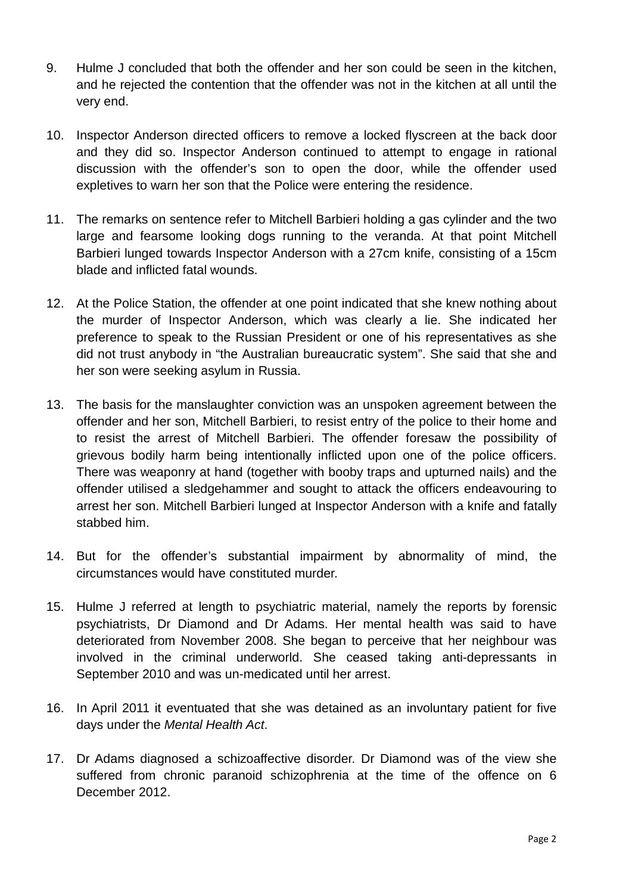- 9. Hulme J concluded that both the offender and her son could be seen in the kitchen, and he rejected the contention that the offender was not in the kitchen at all until the very end.
- 10. Inspector Anderson directed officers to remove a locked flyscreen at the back door and they did so. Inspector Anderson continued to attempt to engage in rational discussion with the offender's son to open the door, while the offender used expletives to warn her son that the Police were entering the residence.
- 11. The remarks on sentence refer to Mitchell Barbieri holding a gas cylinder and the two large and fearsome looking dogs running to the veranda. At that point Mitchell Barbieri lunged towards Inspector Anderson with a 27cm knife, consisting of a 15cm blade and inflicted fatal wounds.
- 12. At the Police Station, the offender at one point indicated that she knew nothing about the murder of Inspector Anderson, which was clearly a lie. She indicated her preference to speak to the Russian President or one of his representatives as she did not trust anybody in "the Australian bureaucratic system". She said that she and her son were seeking asylum in Russia.
- 13. The basis for the manslaughter conviction was an unspoken agreement between the offender and her son, Mitchell Barbieri, to resist entry of the police to their home and to resist the arrest of Mitchell Barbieri. The offender foresaw the possibility of grievous bodily harm being intentionally inflicted upon one of the police officers. There was weaponry at hand (together with booby traps and upturned nails) and the offender utilised a sledgehammer and sought to attack the officers endeavouring to arrest her son. Mitchell Barbieri lunged at Inspector Anderson with a knife and fatally stabbed him.
- 14. But for the offender's substantial impairment by abnormality of mind, the circumstances would have constituted murder.
- 15. Hulme J referred at length to psychiatric material, namely the reports by forensic psychiatrists, Dr Diamond and Dr Adams. Her mental health was said to have deteriorated from November 2008. She began to perceive that her neighbour was involved in the criminal underworld. She ceased taking anti-depressants in September 2010 and was un-medicated until her arrest.
- 16. In April 2011 it eventuated that she was detained as an involuntary patient for five days under the *Mental Health Act*.
- 17. Dr Adams diagnosed a schizoaffective disorder. Dr Diamond was of the view she suffered from chronic paranoid schizophrenia at the time of the offence on 6 December 2012.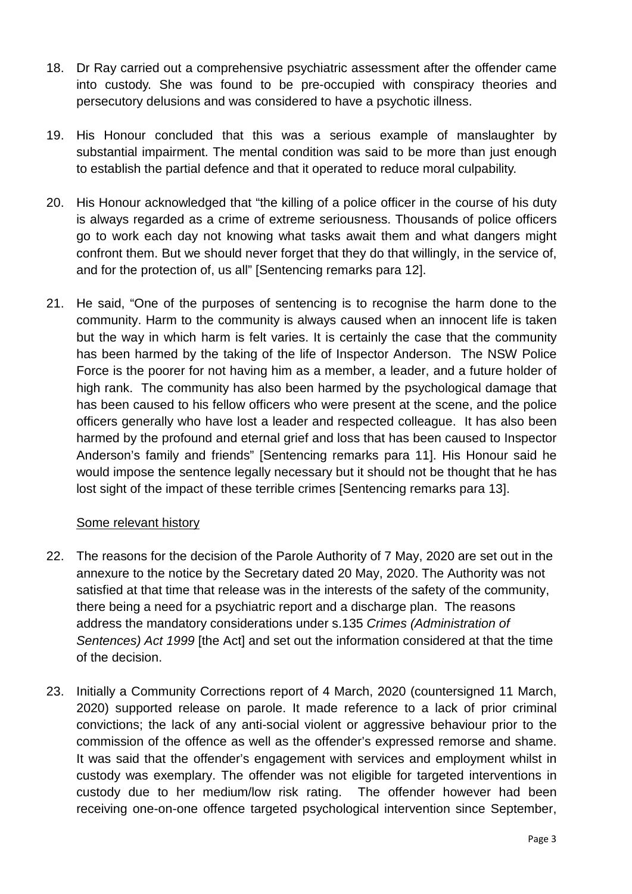- 18. Dr Ray carried out a comprehensive psychiatric assessment after the offender came into custody. She was found to be pre-occupied with conspiracy theories and persecutory delusions and was considered to have a psychotic illness.
- 19. His Honour concluded that this was a serious example of manslaughter by substantial impairment. The mental condition was said to be more than just enough to establish the partial defence and that it operated to reduce moral culpability.
- 20. His Honour acknowledged that "the killing of a police officer in the course of his duty is always regarded as a crime of extreme seriousness. Thousands of police officers go to work each day not knowing what tasks await them and what dangers might confront them. But we should never forget that they do that willingly, in the service of, and for the protection of, us all" [Sentencing remarks para 12].
- 21. He said, "One of the purposes of sentencing is to recognise the harm done to the community. Harm to the community is always caused when an innocent life is taken but the way in which harm is felt varies. It is certainly the case that the community has been harmed by the taking of the life of Inspector Anderson. The NSW Police Force is the poorer for not having him as a member, a leader, and a future holder of high rank. The community has also been harmed by the psychological damage that has been caused to his fellow officers who were present at the scene, and the police officers generally who have lost a leader and respected colleague. It has also been harmed by the profound and eternal grief and loss that has been caused to Inspector Anderson's family and friends" [Sentencing remarks para 11]. His Honour said he would impose the sentence legally necessary but it should not be thought that he has lost sight of the impact of these terrible crimes [Sentencing remarks para 13].

### Some relevant history

- 22. The reasons for the decision of the Parole Authority of 7 May, 2020 are set out in the annexure to the notice by the Secretary dated 20 May, 2020. The Authority was not satisfied at that time that release was in the interests of the safety of the community, there being a need for a psychiatric report and a discharge plan. The reasons address the mandatory considerations under s.135 *Crimes (Administration of Sentences) Act 1999* [the Act] and set out the information considered at that the time of the decision.
- 23. Initially a Community Corrections report of 4 March, 2020 (countersigned 11 March, 2020) supported release on parole. It made reference to a lack of prior criminal convictions; the lack of any anti-social violent or aggressive behaviour prior to the commission of the offence as well as the offender's expressed remorse and shame. It was said that the offender's engagement with services and employment whilst in custody was exemplary. The offender was not eligible for targeted interventions in custody due to her medium/low risk rating. The offender however had been receiving one-on-one offence targeted psychological intervention since September,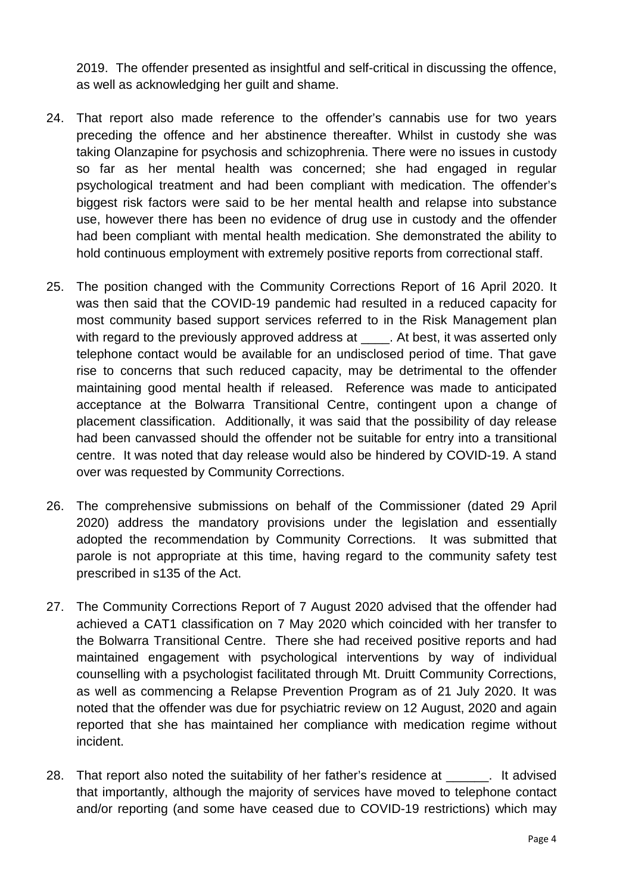2019. The offender presented as insightful and self-critical in discussing the offence, as well as acknowledging her guilt and shame.

- 24. That report also made reference to the offender's cannabis use for two years preceding the offence and her abstinence thereafter. Whilst in custody she was taking Olanzapine for psychosis and schizophrenia. There were no issues in custody so far as her mental health was concerned; she had engaged in regular psychological treatment and had been compliant with medication. The offender's biggest risk factors were said to be her mental health and relapse into substance use, however there has been no evidence of drug use in custody and the offender had been compliant with mental health medication. She demonstrated the ability to hold continuous employment with extremely positive reports from correctional staff.
- 25. The position changed with the Community Corrections Report of 16 April 2020. It was then said that the COVID-19 pandemic had resulted in a reduced capacity for most community based support services referred to in the Risk Management plan with regard to the previously approved address at . At best, it was asserted only telephone contact would be available for an undisclosed period of time. That gave rise to concerns that such reduced capacity, may be detrimental to the offender maintaining good mental health if released. Reference was made to anticipated acceptance at the Bolwarra Transitional Centre, contingent upon a change of placement classification. Additionally, it was said that the possibility of day release had been canvassed should the offender not be suitable for entry into a transitional centre. It was noted that day release would also be hindered by COVID-19. A stand over was requested by Community Corrections.
- 26. The comprehensive submissions on behalf of the Commissioner (dated 29 April 2020) address the mandatory provisions under the legislation and essentially adopted the recommendation by Community Corrections. It was submitted that parole is not appropriate at this time, having regard to the community safety test prescribed in s135 of the Act.
- 27. The Community Corrections Report of 7 August 2020 advised that the offender had achieved a CAT1 classification on 7 May 2020 which coincided with her transfer to the Bolwarra Transitional Centre. There she had received positive reports and had maintained engagement with psychological interventions by way of individual counselling with a psychologist facilitated through Mt. Druitt Community Corrections, as well as commencing a Relapse Prevention Program as of 21 July 2020. It was noted that the offender was due for psychiatric review on 12 August, 2020 and again reported that she has maintained her compliance with medication regime without incident.
- 28. That report also noted the suitability of her father's residence at The 1. It advised that importantly, although the majority of services have moved to telephone contact and/or reporting (and some have ceased due to COVID-19 restrictions) which may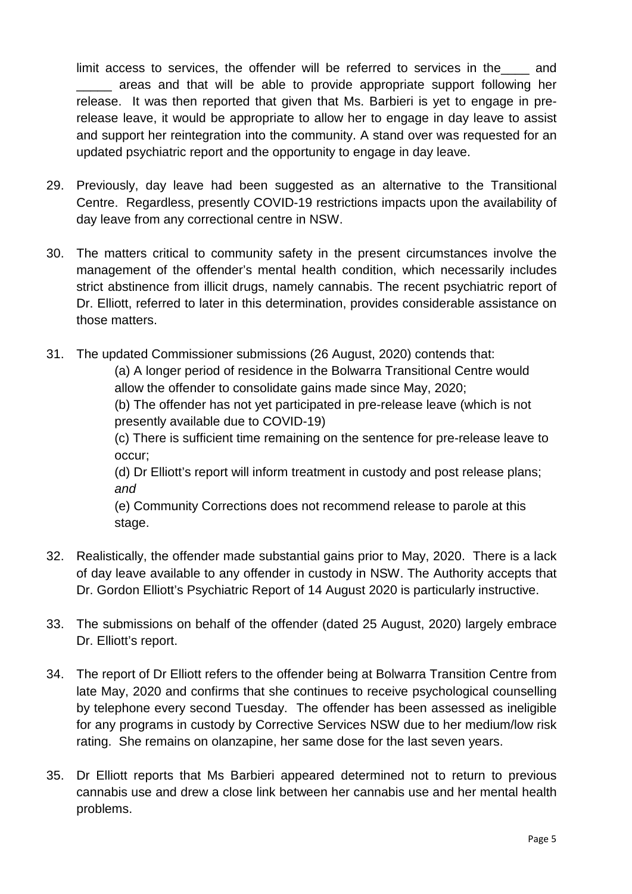limit access to services, the offender will be referred to services in the and \_\_\_\_\_ areas and that will be able to provide appropriate support following her release. It was then reported that given that Ms. Barbieri is yet to engage in prerelease leave, it would be appropriate to allow her to engage in day leave to assist and support her reintegration into the community. A stand over was requested for an updated psychiatric report and the opportunity to engage in day leave.

- 29. Previously, day leave had been suggested as an alternative to the Transitional Centre. Regardless, presently COVID-19 restrictions impacts upon the availability of day leave from any correctional centre in NSW.
- 30. The matters critical to community safety in the present circumstances involve the management of the offender's mental health condition, which necessarily includes strict abstinence from illicit drugs, namely cannabis. The recent psychiatric report of Dr. Elliott, referred to later in this determination, provides considerable assistance on those matters.
- 31. The updated Commissioner submissions (26 August, 2020) contends that:

(a) A longer period of residence in the Bolwarra Transitional Centre would allow the offender to consolidate gains made since May, 2020;

(b) The offender has not yet participated in pre-release leave (which is not presently available due to COVID-19)

(c) There is sufficient time remaining on the sentence for pre-release leave to occur;

(d) Dr Elliott's report will inform treatment in custody and post release plans; *and*

(e) Community Corrections does not recommend release to parole at this stage.

- 32. Realistically, the offender made substantial gains prior to May, 2020. There is a lack of day leave available to any offender in custody in NSW. The Authority accepts that Dr. Gordon Elliott's Psychiatric Report of 14 August 2020 is particularly instructive.
- 33. The submissions on behalf of the offender (dated 25 August, 2020) largely embrace Dr. Elliott's report.
- 34. The report of Dr Elliott refers to the offender being at Bolwarra Transition Centre from late May, 2020 and confirms that she continues to receive psychological counselling by telephone every second Tuesday. The offender has been assessed as ineligible for any programs in custody by Corrective Services NSW due to her medium/low risk rating. She remains on olanzapine, her same dose for the last seven years.
- 35. Dr Elliott reports that Ms Barbieri appeared determined not to return to previous cannabis use and drew a close link between her cannabis use and her mental health problems.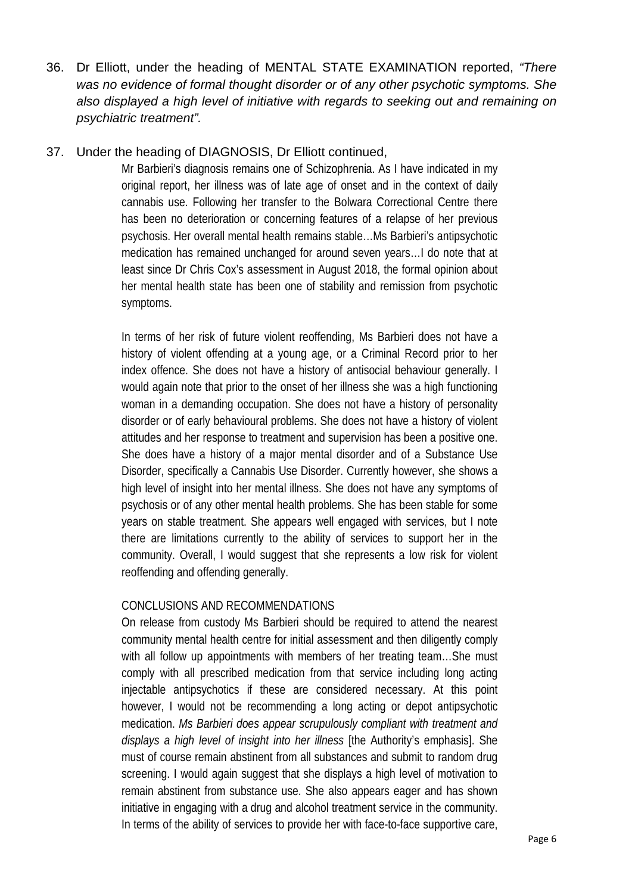36. Dr Elliott, under the heading of MENTAL STATE EXAMINATION reported, *"There was no evidence of formal thought disorder or of any other psychotic symptoms. She also displayed a high level of initiative with regards to seeking out and remaining on psychiatric treatment".* 

#### 37. Under the heading of DIAGNOSIS, Dr Elliott continued,

Mr Barbieri's diagnosis remains one of Schizophrenia. As I have indicated in my original report, her illness was of late age of onset and in the context of daily cannabis use. Following her transfer to the Bolwara Correctional Centre there has been no deterioration or concerning features of a relapse of her previous psychosis. Her overall mental health remains stable…Ms Barbieri's antipsychotic medication has remained unchanged for around seven years…I do note that at least since Dr Chris Cox's assessment in August 2018, the formal opinion about her mental health state has been one of stability and remission from psychotic symptoms.

In terms of her risk of future violent reoffending, Ms Barbieri does not have a history of violent offending at a young age, or a Criminal Record prior to her index offence. She does not have a history of antisocial behaviour generally. I would again note that prior to the onset of her illness she was a high functioning woman in a demanding occupation. She does not have a history of personality disorder or of early behavioural problems. She does not have a history of violent attitudes and her response to treatment and supervision has been a positive one. She does have a history of a major mental disorder and of a Substance Use Disorder, specifically a Cannabis Use Disorder. Currently however, she shows a high level of insight into her mental illness. She does not have any symptoms of psychosis or of any other mental health problems. She has been stable for some years on stable treatment. She appears well engaged with services, but I note there are limitations currently to the ability of services to support her in the community. Overall, I would suggest that she represents a low risk for violent reoffending and offending generally.

#### CONCLUSIONS AND RECOMMENDATIONS

On release from custody Ms Barbieri should be required to attend the nearest community mental health centre for initial assessment and then diligently comply with all follow up appointments with members of her treating team...She must comply with all prescribed medication from that service including long acting injectable antipsychotics if these are considered necessary. At this point however, I would not be recommending a long acting or depot antipsychotic medication. *Ms Barbieri does appear scrupulously compliant with treatment and displays a high level of insight into her illness* [the Authority's emphasis]. She must of course remain abstinent from all substances and submit to random drug screening. I would again suggest that she displays a high level of motivation to remain abstinent from substance use. She also appears eager and has shown initiative in engaging with a drug and alcohol treatment service in the community. In terms of the ability of services to provide her with face-to-face supportive care,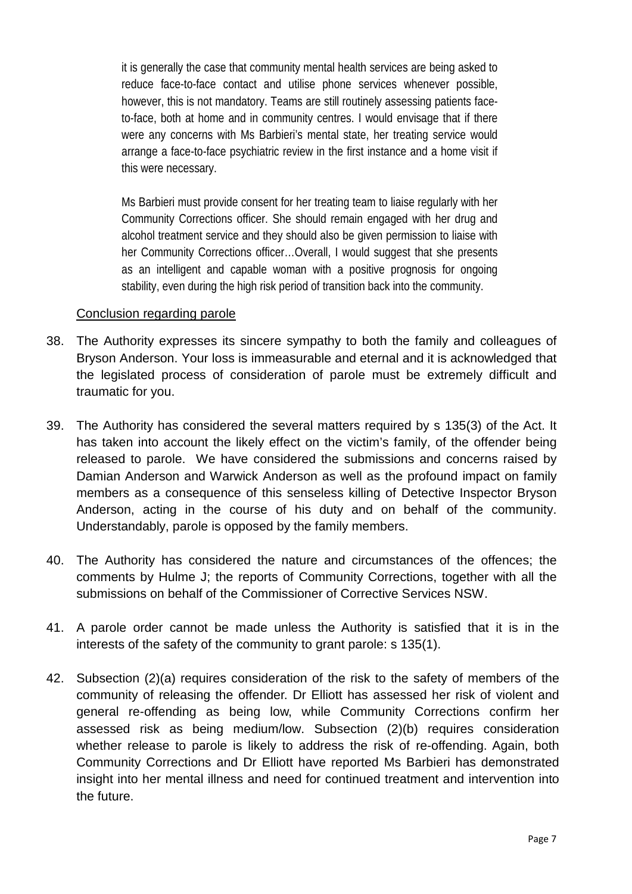it is generally the case that community mental health services are being asked to reduce face-to-face contact and utilise phone services whenever possible, however, this is not mandatory. Teams are still routinely assessing patients faceto-face, both at home and in community centres. I would envisage that if there were any concerns with Ms Barbieri's mental state, her treating service would arrange a face-to-face psychiatric review in the first instance and a home visit if this were necessary.

Ms Barbieri must provide consent for her treating team to liaise regularly with her Community Corrections officer. She should remain engaged with her drug and alcohol treatment service and they should also be given permission to liaise with her Community Corrections officer…Overall, I would suggest that she presents as an intelligent and capable woman with a positive prognosis for ongoing stability, even during the high risk period of transition back into the community.

#### Conclusion regarding parole

- 38. The Authority expresses its sincere sympathy to both the family and colleagues of Bryson Anderson. Your loss is immeasurable and eternal and it is acknowledged that the legislated process of consideration of parole must be extremely difficult and traumatic for you.
- 39. The Authority has considered the several matters required by s 135(3) of the Act. It has taken into account the likely effect on the victim's family, of the offender being released to parole. We have considered the submissions and concerns raised by Damian Anderson and Warwick Anderson as well as the profound impact on family members as a consequence of this senseless killing of Detective Inspector Bryson Anderson, acting in the course of his duty and on behalf of the community. Understandably, parole is opposed by the family members.
- 40. The Authority has considered the nature and circumstances of the offences; the comments by Hulme J; the reports of Community Corrections, together with all the submissions on behalf of the Commissioner of Corrective Services NSW.
- 41. A parole order cannot be made unless the Authority is satisfied that it is in the interests of the safety of the community to grant parole: s 135(1).
- 42. Subsection (2)(a) requires consideration of the risk to the safety of members of the community of releasing the offender. Dr Elliott has assessed her risk of violent and general re-offending as being low, while Community Corrections confirm her assessed risk as being medium/low. Subsection (2)(b) requires consideration whether release to parole is likely to address the risk of re-offending. Again, both Community Corrections and Dr Elliott have reported Ms Barbieri has demonstrated insight into her mental illness and need for continued treatment and intervention into the future.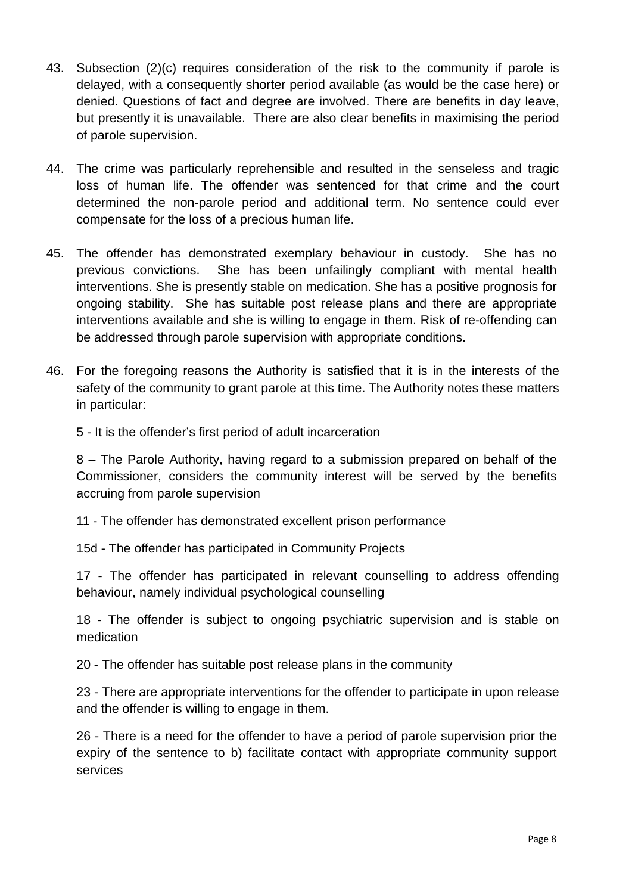- 43. Subsection (2)(c) requires consideration of the risk to the community if parole is delayed, with a consequently shorter period available (as would be the case here) or denied. Questions of fact and degree are involved. There are benefits in day leave, but presently it is unavailable. There are also clear benefits in maximising the period of parole supervision.
- 44. The crime was particularly reprehensible and resulted in the senseless and tragic loss of human life. The offender was sentenced for that crime and the court determined the non-parole period and additional term. No sentence could ever compensate for the loss of a precious human life.
- 45. The offender has demonstrated exemplary behaviour in custody. She has no previous convictions. She has been unfailingly compliant with mental health interventions. She is presently stable on medication. She has a positive prognosis for ongoing stability. She has suitable post release plans and there are appropriate interventions available and she is willing to engage in them. Risk of re-offending can be addressed through parole supervision with appropriate conditions.
- 46. For the foregoing reasons the Authority is satisfied that it is in the interests of the safety of the community to grant parole at this time. The Authority notes these matters in particular:

5 - It is the offender's first period of adult incarceration

8 – The Parole Authority, having regard to a submission prepared on behalf of the Commissioner, considers the community interest will be served by the benefits accruing from parole supervision

11 - The offender has demonstrated excellent prison performance

15d - The offender has participated in Community Projects

17 - The offender has participated in relevant counselling to address offending behaviour, namely individual psychological counselling

18 - The offender is subject to ongoing psychiatric supervision and is stable on medication

20 - The offender has suitable post release plans in the community

23 - There are appropriate interventions for the offender to participate in upon release and the offender is willing to engage in them.

26 - There is a need for the offender to have a period of parole supervision prior the expiry of the sentence to b) facilitate contact with appropriate community support services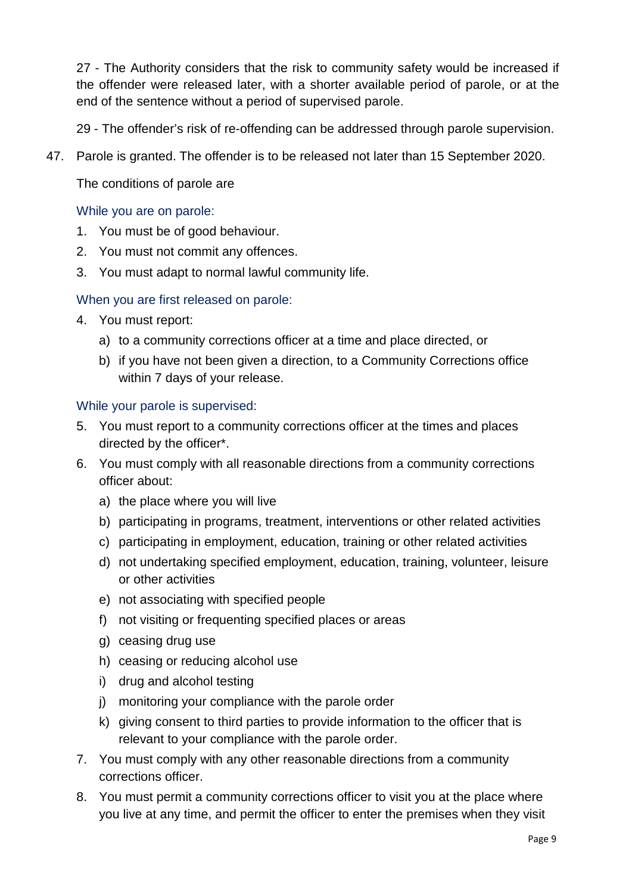27 - The Authority considers that the risk to community safety would be increased if the offender were released later, with a shorter available period of parole, or at the end of the sentence without a period of supervised parole.

29 - The offender's risk of re-offending can be addressed through parole supervision.

47. Parole is granted. The offender is to be released not later than 15 September 2020.

The conditions of parole are

#### While you are on parole:

- 1. You must be of good behaviour.
- 2. You must not commit any offences.
- 3. You must adapt to normal lawful community life.

#### When you are first released on parole:

- 4. You must report:
	- a) to a community corrections officer at a time and place directed, or
	- b) if you have not been given a direction, to a Community Corrections office within 7 days of your release.

#### While your parole is supervised:

- 5. You must report to a community corrections officer at the times and places directed by the officer\*.
- 6. You must comply with all reasonable directions from a community corrections officer about:
	- a) the place where you will live
	- b) participating in programs, treatment, interventions or other related activities
	- c) participating in employment, education, training or other related activities
	- d) not undertaking specified employment, education, training, volunteer, leisure or other activities
	- e) not associating with specified people
	- f) not visiting or frequenting specified places or areas
	- g) ceasing drug use
	- h) ceasing or reducing alcohol use
	- i) drug and alcohol testing
	- j) monitoring your compliance with the parole order
	- k) giving consent to third parties to provide information to the officer that is relevant to your compliance with the parole order.
- 7. You must comply with any other reasonable directions from a community corrections officer.
- 8. You must permit a community corrections officer to visit you at the place where you live at any time, and permit the officer to enter the premises when they visit